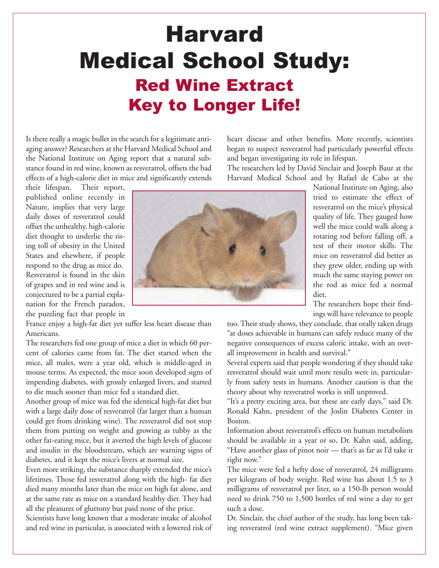## Harvard Medical School Study: Red Wine Extract Key to Longer Life!

Is there really a magic bullet in the search for a legitimate antiaging answer? Researchers at the Harvard Medical School and the National Institute on Aging report that a natural substance found in red wine, known as resveratrol, offsets the bad effects of a high-calorie diet in mice and significantly extends

their lifespan. Their report, published online recently in Nature, implies that very large daily doses of resveratrol could offset the unhealthy, high-calorie diet thought to underlie the rising toll of obesity in the United States and elsewhere, if people respond to the drug as mice do. Resveratrol is found in the skin of grapes and in red wine and is conjectured to be a partial explanation for the French paradox, the puzzling fact that people in

France enjoy a high-fat diet yet suffer less heart disease than Americans.

The researchers fed one group of mice a diet in which 60 percent of calories came from fat. The diet started when the mice, all males, were a year old, which is middle-aged in mouse terms. As expected, the mice soon developed signs of impending diabetes, with grossly enlarged livers, and started to die much sooner than mice fed a standard diet.

Another group of mice was fed the identical high-fat diet but with a large daily dose of resveratrol (far larger than a human could get from drinking wine). The resveratrol did not stop them from putting on weight and growing as tubby as the other fat-eating mice, but it averted the high levels of glucose and insulin in the bloodstream, which are warning signs of diabetes, and it kept the mice's livers at normal size.

Even more striking, the substance sharply extended the mice's lifetimes. Those fed resveratrol along with the high- fat diet died many months later than the mice on high fat alone, and at the same rate as mice on a standard healthy diet. They had all the pleasures of gluttony but paid none of the price.

Scientists have long known that a moderate intake of alcohol and red wine in particular, is associated with a lowered risk of heart disease and other benefits. More recently, scientists began to suspect resveratrol had particularly powerful effects and began investigating its role in lifespan.

The researchers led by David Sinclair and Joseph Baur at the Harvard Medical School and by Rafael de Cabo at the



National Institute on Aging, also tried to estimate the effect of resveratrol on the mice's physical quality of life. They gauged how well the mice could walk along a rotating rod before falling off, a test of their motor skills. The mice on resveratrol did better as they grew older, ending up with much the same staying power on the rod as mice fed a normal diet.

The researchers hope their findings will have relevance to people

too.Their study shows, they conclude, that orally taken drugs "at doses achievable in humans can safely reduce many of the negative consequences of excess caloric intake, with an overall improvement in health and survival."

Several experts said that people wondering if they should take resveratrol should wait until more results were in, particularly from safety tests in humans. Another caution is that the theory about why resveratrol works is still unproved.

"It's a pretty exciting area, but these are early days," said Dr. Ronald Kahn, president of the Joslin Diabetes Center in Boston.

Information about resveratrol's effects on human metabolism should be available in a year or so, Dr. Kahn said, adding, "Have another glass of pinot noir — that's as far as I'd take it right now."

The mice were fed a hefty dose of resveratrol, 24 milligrams per kilogram of body weight. Red wine has about 1.5 to 3 milligrams of resveratrol per liter, so a 150-lb person would need to drink 750 to 1,500 bottles of red wine a day to get such a dose.

Dr. Sinclair, the chief author of the study, has long been taking resveratrol (red wine extract supplement). "Mice given